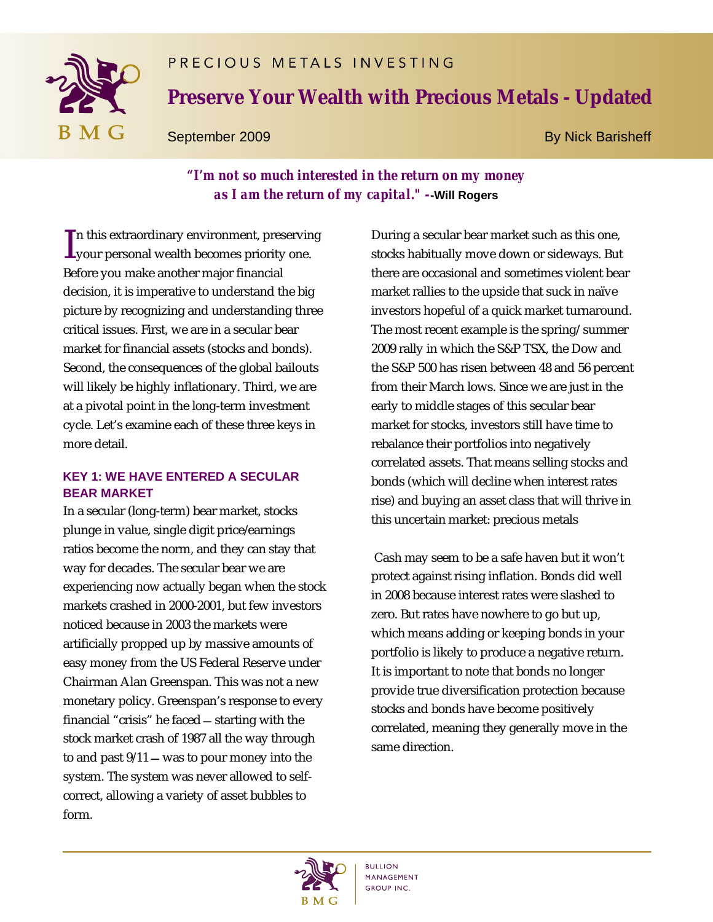# PRECIOUS METALS INVESTING



# **Preserve Your Wealth with Precious Metals - Updated**

September 2009 By Nick Barisheff

## *"I'm not so much interested in the return on my money as I am the return of my capital." -***-Will Rogers**

n this extraordinary environment, preserving In this extraordinary environment, preservin<br>your personal wealth becomes priority one. Before you make another major financial decision, it is imperative to understand the big picture by recognizing and understanding three critical issues. First, we are in a secular bear market for financial assets (stocks and bonds). Second, the consequences of the global bailouts will likely be highly inflationary. Third, we are at a pivotal point in the long-term investment cycle. Let's examine each of these three keys in more detail.

## **KEY 1: WE HAVE ENTERED A SECULAR BEAR MARKET**

In a secular (long-term) bear market, stocks plunge in value, single digit price/earnings ratios become the norm, and they can stay that way for decades. The secular bear we are experiencing now actually began when the stock markets crashed in 2000-2001, but few investors noticed because in 2003 the markets were artificially propped up by massive amounts of easy money from the US Federal Reserve under Chairman Alan Greenspan. This was not a new monetary policy. Greenspan's response to every financial "crisis" he faced  $-$  starting with the stock market crash of 1987 all the way through to and past  $9/11$   $-$  was to pour money into the system. The system was never allowed to selfcorrect, allowing a variety of asset bubbles to form.

During a secular bear market such as this one, stocks habitually move down or sideways. But there are occasional and sometimes violent bear market rallies to the upside that suck in naïve investors hopeful of a quick market turnaround. The most recent example is the spring/ summer 2009 rally in which the S&P TSX, the Dow and the S&P 500 has risen between 48 and 56 percent from their March lows. Since we are just in the early to middle stages of this secular bear market for stocks, investors still have time to rebalance their portfolios into negatively correlated assets. That means selling stocks and bonds (which will decline when interest rates rise) and buying an asset class that will thrive in this uncertain market: precious metals

Cash may seem to be a safe haven but it won't protect against rising inflation. Bonds did well in 2008 because interest rates were slashed to zero. But rates have nowhere to go but up, which means adding or keeping bonds in your portfolio is likely to produce a negative return. It is important to note that bonds no longer provide true diversification protection because stocks and bonds have become positively correlated, meaning they generally move in the same direction.

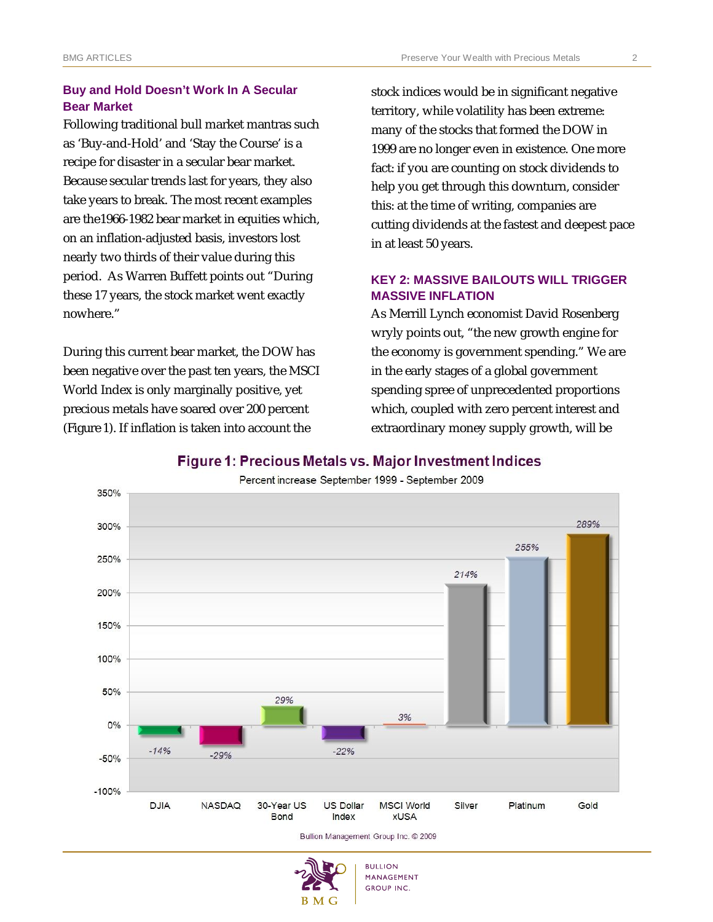### **Buy and Hold Doesn't Work In A Secular Bear Market**

Following traditional bull market mantras such as 'Buy-and-Hold' and 'Stay the Course' is a recipe for disaster in a secular bear market. Because secular trends last for years, they also take years to break. The most recent examples are the1966-1982 bear market in equities which, on an inflation-adjusted basis, investors lost nearly two thirds of their value during this period. As Warren Buffett points out "During these 17 years, the stock market went exactly nowhere."

During this current bear market, the DOW has been negative over the past ten years, the MSCI World Index is only marginally positive, yet precious metals have soared over 200 percent *(Figure 1*). If inflation is taken into account the

stock indices would be in significant negative territory, while volatility has been extreme: many of the stocks that formed the DOW in 1999 are no longer even in existence. One more fact: if you are counting on stock dividends to help you get through this downturn, consider this: at the time of writing, companies are cutting dividends at the fastest and deepest pace in at least 50 years.

#### **KEY 2: MASSIVE BAILOUTS WILL TRIGGER MASSIVE INFLATION**

As Merrill Lynch economist David Rosenberg wryly points out, "the new growth engine for the economy is government spending." We are in the early stages of a global government spending spree of unprecedented proportions which, coupled with zero percent interest and extraordinary money supply growth, will be

#### Figure 1: Precious Metals vs. Major Investment Indices



Percent increase September 1999 - September 2009

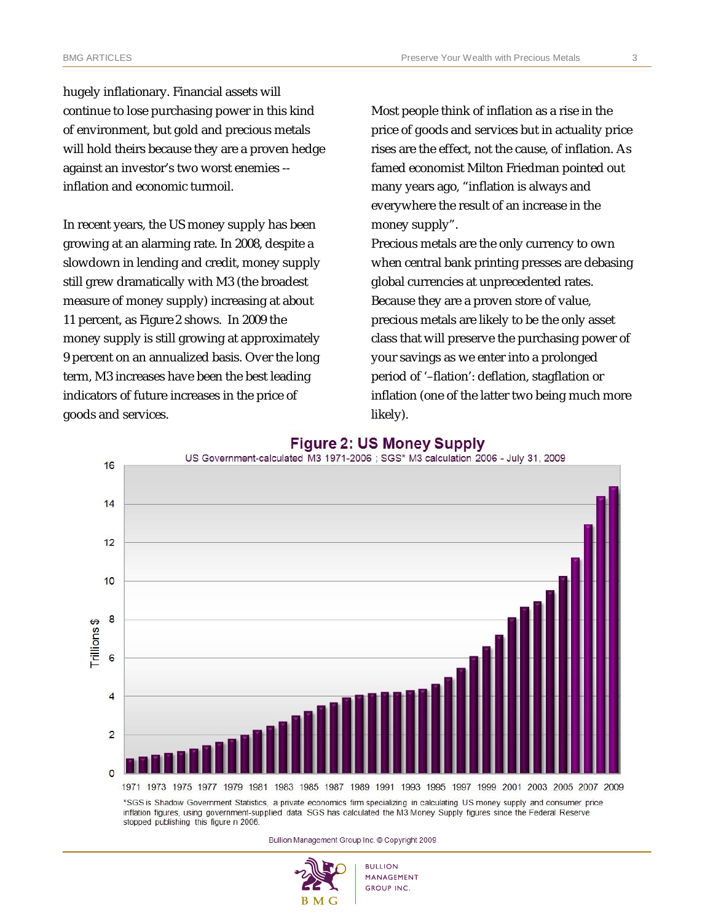hugely inflationary. Financial assets will continue to lose purchasing power in this kind of environment, but gold and precious metals will hold theirs because they are a proven hedge against an investor's two worst enemies - inflation and economic turmoil.

In recent years, the US money supply has been growing at an alarming rate. In 2008, despite a slowdown in lending and credit, money supply still grew dramatically with M3 (the broadest measure of money supply) increasing at about 11 percent, as *Figure 2* shows. In 2009 the money supply is still growing at approximately 9 percent on an annualized basis. Over the long term, M3 increases have been the best leading indicators of future increases in the price of goods and services.

Most people think of inflation as a rise in the price of goods and services but in actuality price rises are the effect, not the cause, of inflation. As famed economist Milton Friedman pointed out many years ago, "inflation is always and everywhere the result of an increase in the money supply".

Precious metals are the only currency to own when central bank printing presses are debasing global currencies at unprecedented rates. Because they are a proven store of value, precious metals are likely to be the only asset class that will preserve the purchasing power of your savings as we enter into a prolonged period of '–flation': deflation, stagflation or inflation (one of the latter two being much more likely).



#### **Figure 2: US Money Supply**

Bullion Management Group Inc. © Copyright 2009

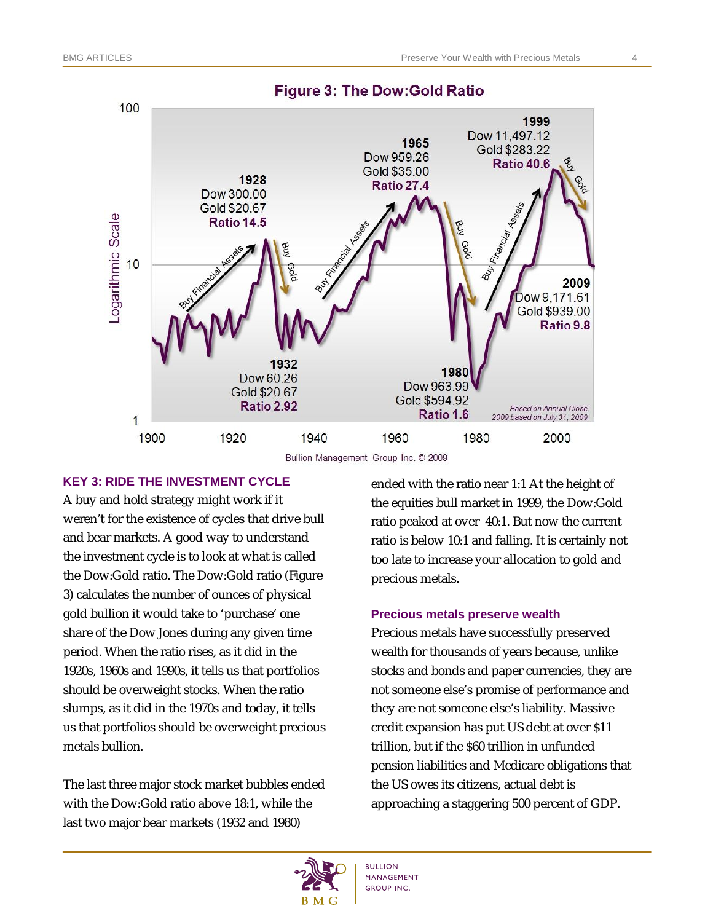

#### **Figure 3: The Dow: Gold Ratio**

Bullion Management Group Inc. © 2009

#### **KEY 3: RIDE THE INVESTMENT CYCLE**

A buy and hold strategy might work if it weren't for the existence of cycles that drive bull and bear markets. A good way to understand the investment cycle is to look at what is called the Dow:Gold ratio. The Dow:Gold ratio (*Figure 3)* calculates the number of ounces of physical gold bullion it would take to 'purchase' one share of the Dow Jones during any given time period. When the ratio rises, as it did in the 1920s, 1960s and 1990s, it tells us that portfolios should be overweight stocks. When the ratio slumps, as it did in the 1970s and today, it tells us that portfolios should be overweight precious metals bullion.

The last three major stock market bubbles ended with the Dow:Gold ratio above 18:1, while the last two major bear markets (1932 and 1980)

ended with the ratio near 1:1 At the height of the equities bull market in 1999, the Dow:Gold ratio peaked at over 40:1. But now the current ratio is below 10:1 and falling. It is certainly not too late to increase your allocation to gold and precious metals.

#### **Precious metals preserve wealth**

Precious metals have successfully preserved wealth for thousands of years because, unlike stocks and bonds and paper currencies, they are not someone else's promise of performance and they are not someone else's liability. Massive credit expansion has put US debt at over \$11 trillion, but if the \$60 trillion in unfunded pension liabilities and Medicare obligations that the US owes its citizens, actual debt is approaching a staggering 500 percent of GDP.

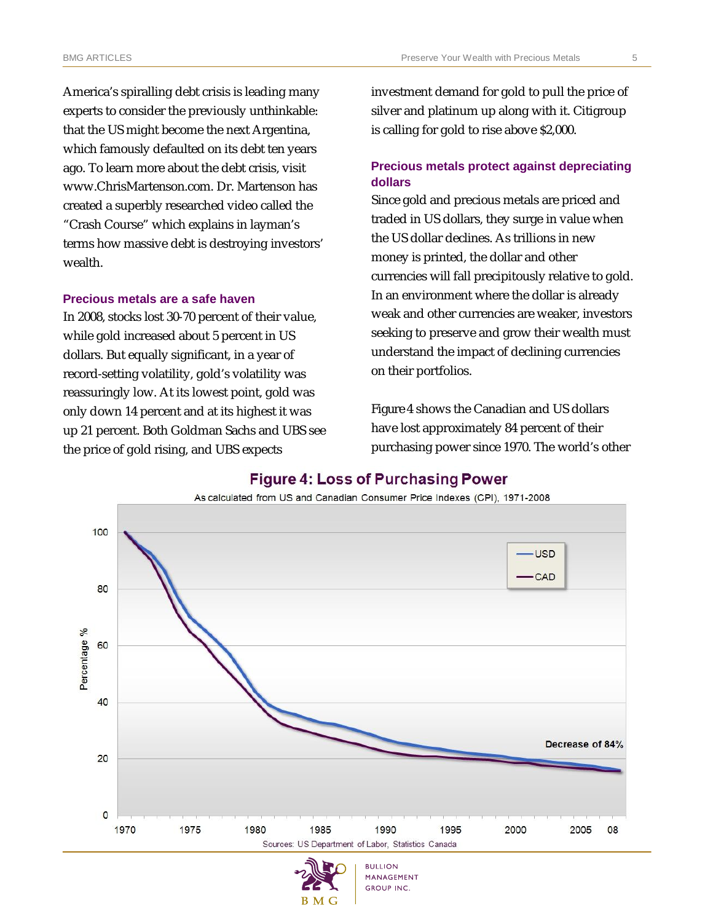America's spiralling debt crisis is leading many experts to consider the previously unthinkable: that the US might become the next Argentina, which famously defaulted on its debt ten years ago. To learn more about the debt crisis, visit www.ChrisMartenson.com. Dr. Martenson has created a superbly researched video called the "Crash Course" which explains in layman's terms how massive debt is destroying investors' wealth.

#### **Precious metals are a safe haven**

In 2008, stocks lost 30-70 percent of their value, while gold increased about 5 percent in US dollars. But equally significant, in a year of record-setting volatility, gold's volatility was reassuringly low. At its lowest point, gold was only down 14 percent and at its highest it was up 21 percent. Both Goldman Sachs and UBS see the price of gold rising, and UBS expects

investment demand for gold to pull the price of silver and platinum up along with it. Citigroup is calling for gold to rise above \$2,000.

#### **Precious metals protect against depreciating dollars**

Since gold and precious metals are priced and traded in US dollars, they surge in value when the US dollar declines. As trillions in new money is printed, the dollar and other currencies will fall precipitously relative to gold. In an environment where the dollar is already weak and other currencies are weaker, investors seeking to preserve and grow their wealth must understand the impact of declining currencies on their portfolios.

*Figure 4* shows the Canadian and US dollars have lost approximately 84 percent of their purchasing power since 1970. The world's other



#### **Figure 4: Loss of Purchasing Power**